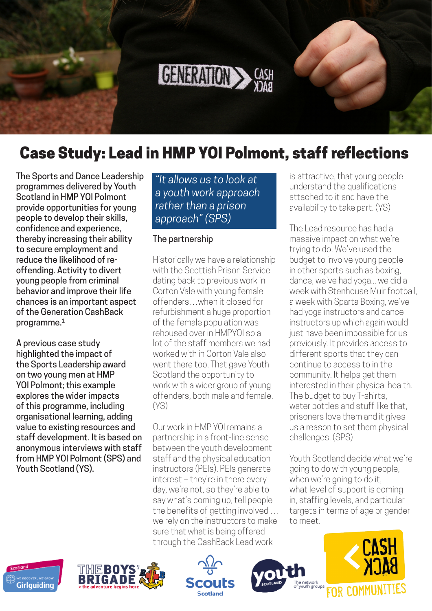<span id="page-0-0"></span>

# Case Study: Lead in HMP YOI Polmont, staff reflections

The Sports and Dance Leadership programmes delivered by Youth Scotland in HMP YOI Polmont provide opportunities for young people to develop their skills, confidence and experience, thereby increasing their ability to secure employment and reduce the likelihood of reoffending. Activity to divert young people from criminal behavior and improve their life chances is an important aspect of the Generation CashBack programme.<sup>1</sup>

A previous case study highlighted the impact of the Sports Leadership award on two young men at HMP YOI Polmont; this example explores the wider impacts of this programme, including organisational learning, adding value to existing resources and staff development. It is based on anonymous interviews with staff from HMP YOI Polmont (SPS) and Youth Scotland (YS).

*"It allows us to look at a youth work approach rather than a prison approach" (SPS)*

#### The partnership

Historically we have a relationship with the Scottish Prison Service dating back to previous work in Corton Vale with young female offenders…when it closed for refurbishment a huge proportion of the female population was rehoused over in HMPYOI so a lot of the staff members we had worked with in Corton Vale also went there too. That gave Youth Scotland the opportunity to work with a wider group of young offenders, both male and female. (YS)

Our work in HMP YOI remains a partnership in a front-line sense between the youth development staff and the physical education instructors (PEIs). PEIs generate interest – they're in there every day, we're not, so they're able to say what's coming up, tell people the benefits of getting involved … we rely on the instructors to make sure that what is being offered through the CashBack Lead work

is attractive, that young people understand the qualifications attached to it and have the availability to take part. (YS)

The Lead resource has had a massive impact on what we're trying to do. We've used the budget to involve young people in other sports such as boxing, dance, we've had yoga... we did a week with Stenhouse Muir football, a week with Sparta Boxing, we've had yoga instructors and dance instructors up which again would just have been impossible for us previously. It provides access to different sports that they can continue to access to in the community. It helps get them interested in their physical health. The budget to buy T-shirts, water bottles and stuff like that, prisoners love them and it gives us a reason to set them physical challenges. (SPS)

Youth Scotland decide what we're going to do with young people, when we're going to do it, what level of support is coming in, staffing levels, and particular targets in terms of age or gender to meet.









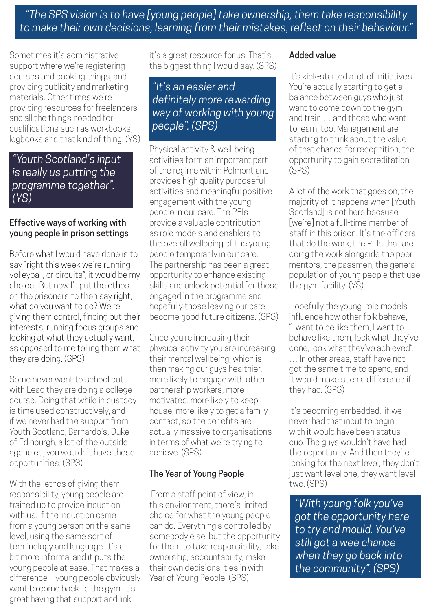*"The SPS vision is to have [young people] take ownership, them take responsibility to make their own decisions, learning from their mistakes, reflect on their behaviour."* 

Sometimes it's administrative support where we're registering courses and booking things, and providing publicity and marketing materials. Other times we're providing resources for freelancers and all the things needed for qualifications such as workbooks, logbooks and that kind of thing. (YS)

## *"Youth Scotland's input is really us putting the programme together". (YS)*

### Effective ways of working with young people in prison settings

Before what I would have done is to say "right this week we're running volleyball, or circuits", it would be my choice. But now I'll put the ethos on the prisoners to then say right, what do you want to do? We're giving them control, finding out their interests, running focus groups and looking at what they actually want, as opposed to me telling them what they are doing. (SPS)

Some never went to school but with Lead they are doing a college course. Doing that while in custody is time used constructively, and if we never had the support from Youth Scotland, Barnardo's, Duke of Edinburgh, a lot of the outside agencies, you wouldn't have these opportunities. (SPS)

With the ethos of giving them responsibility, young people are trained up to provide induction with us. If the induction came from a young person on the same level, using the same sort of terminology and language. It's a bit more informal and it puts the young people at ease. That makes a difference – young people obviously want to come back to the gym. It's great having that support and link,

it's a great resource for us. That's the biggest thing I would say. (SPS)

# *"It's an easier and definitely more rewarding way of working with young people". (SPS)*

Physical activity & well-being activities form an important part of the regime within Polmont and provides high quality purposeful activities and meaningful positive engagement with the young people in our care. The PEIs provide a valuable contribution as role models and enablers to the overall wellbeing of the young people temporarily in our care. The partnership has been a great opportunity to enhance existing skills and unlock potential for those engaged in the programme and hopefully those leaving our care become good future citizens. (SPS)

Once you're increasing their physical activity you are increasing their mental wellbeing, which is then making our guys healthier, more likely to engage with other partnership workers, more motivated, more likely to keep house, more likely to get a family contact, so the benefits are actually massive to organisations in terms of what we're trying to achieve. (SPS)

## The Year of Young People

 From a staff point of view, in this environment, there's limited choice for what the young people can do. Everything's controlled by somebody else, but the opportunity for them to take responsibility, take ownership, accountability, make their own decisions, ties in with Year of Young People. (SPS)

## Added value

It's kick-started a lot of initiatives. You're actually starting to get a balance between guys who just want to come down to the gym and train … and those who want to learn, too. Management are starting to think about the value of that chance for recognition, the opportunity to gain accreditation. (SPS)

A lot of the work that goes on, the majority of it happens when [Youth Scotland] is not here because [we're] not a full-time member of staff in this prison. It's the officers that do the work, the PEIs that are doing the work alongside the peer mentors, the passmen, the general population of young people that use the gym facility. (YS)

Hopefully the young role models influence how other folk behave, "I want to be like them, I want to behave like them, look what they've done, look what they've achieved". … In other areas, staff have not got the same time to spend, and it would make such a difference if they had. (SPS)

It's becoming embedded...if we never had that input to begin with it would have been status quo. The guys wouldn't have had the opportunity. And then they're looking for the next level, they don't just want level one, they want level two. (SPS)

*"With young folk you've got the opportunity here to try and mould. You've still got a wee chance when they go back into the community". (SPS)*